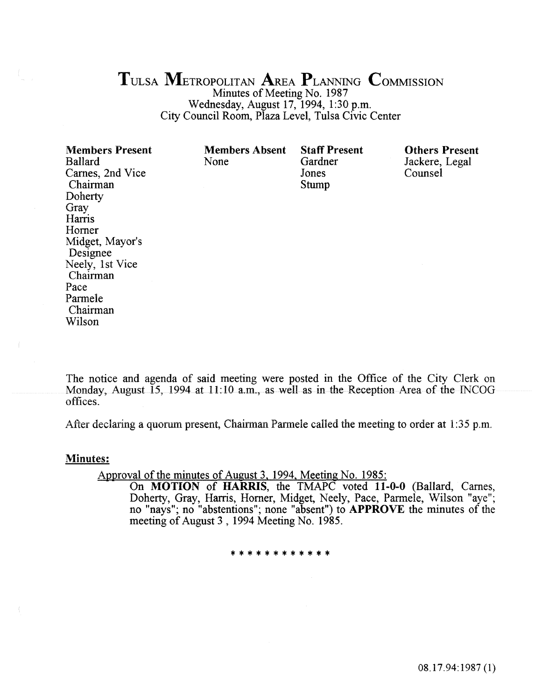# TULSA METROPOLITAN AREA PLANNING COMMISSION

Minutes of Meeting No. 1987 Wednesday, August 17, 1994, 1:30 p.m. City Council Room, Plaza Level, Tulsa Civic Center

| <b>Members Present</b><br><b>Ballard</b><br>Carnes, 2nd Vice<br>Chairman<br>Doherty<br>Gray<br>Harris<br>Horner<br>Midget, Mayor's<br>Designee<br>Neely, 1st Vice<br>Chairman<br>Pace<br>Parmele<br>Chairman<br>Wilson | <b>Members Absent</b><br>None | <b>Staff Present</b><br>Gardner<br>Jones<br>Stump | <b>Others Present</b><br>Jackere, Legal<br>Counsel |
|------------------------------------------------------------------------------------------------------------------------------------------------------------------------------------------------------------------------|-------------------------------|---------------------------------------------------|----------------------------------------------------|
|                                                                                                                                                                                                                        |                               |                                                   |                                                    |

The notice and agenda of said meeting were posted in the Office of the City Clerk on Monday, August 15, 1994 at 11:10 a.m., as well as in the Reception Area of the INCOG offices.

After declaring a quorum present, Chairman Parmele called the meeting to order at 1:35 p.m.

#### Minutes:

Approval of the minutes of August 3, 1994, Meeting No. 1985:

On MOTION of HARRIS, the TMAPC voted 11-0-0 (Ballard, Carnes, Doherty, Gray, Harris, Horner, Midget, Neely, Pace, Parmele, Wilson "aye"; no "nays"; no "abstentions"; none "absent") to APPROVE the minutes of the meeting of August 3, 1994 Meeting No. 1985.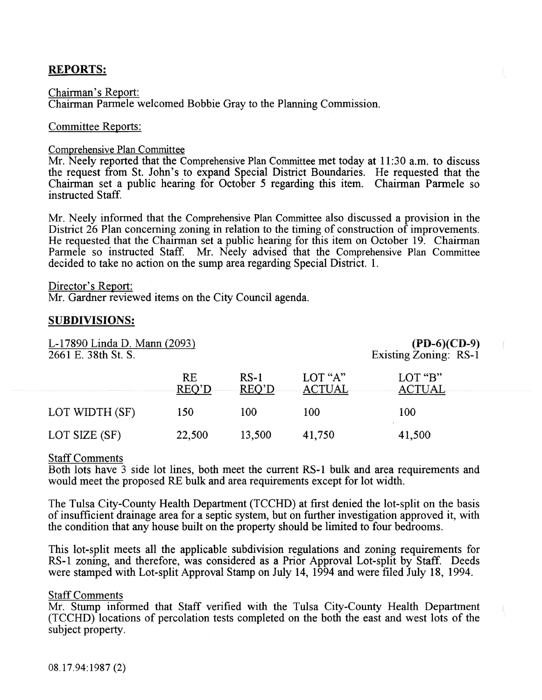## **REPORTS:**

Chairman's Report: Chairman Parmele welcomed Bobbie Gray to the Planning Commission.

#### Committee Reports:

#### Comprehensive Plan Committee

Mr. Neely reported that the Comprehensive Plan Committee met today at 11:30 a.m. to discuss the request from St. John's to expand Special District Boundaries. He requested that the Chairman set a public hearing for October 5 regarding this item. Chairman Parmele so instructed Staff.

Mr. Neely informed that the Comprehensive Plan Committee also discussed a provision in the District 26 Plan concerning zoning in relation to the timing of construction of improvements. He requested that the Chairman set a public hearing for this item on October 19. Chairman Parmele so instructed Staff. Mr. Neely advised that the Comprehensive Plan Committee decided to take no action on the sump area regarding Special District. 1.

#### Director's Report:

Mr. Gardner reviewed items on the City Council agenda.

#### SUBDIVISIONS:

| L-17890 Linda D. Mann (2093)<br>2661 E. 38th St. S. | $(PD-6)(CD-9)$<br>Existing Zoning: RS-1 |                 |                          |                          |
|-----------------------------------------------------|-----------------------------------------|-----------------|--------------------------|--------------------------|
|                                                     | <b>RE</b><br>REO'D                      | $RS-1$<br>REQ'D | LOT "A"<br><b>ACTUAL</b> | LOT "B"<br><b>ACTUAL</b> |
| LOT WIDTH (SF)                                      | 150                                     | 100             | 100                      | 100                      |
| LOT SIZE (SF)                                       | 22,500                                  | 13,500          | 41,750                   | 41,500                   |

#### Staff Comments

Both lots have 3 side lot lines, both meet the current RS-1 buik and area requirements and would meet the proposed RE bulk and area requirements except for lot width.

The Tulsa City-County Health Department (TCCHD) at first denied the lot-split on the basis of insufficient drainage area for a septic system, but on further investigation approved it, with the condition that any house built on the property should be limited to four bedrooms.

This lot-split meets all the applicable subdivision regulations and zoning requirements for RS-1 zoning, and therefore, was considered as a Prior Approval Lot-split by Staff. Deeds were stamped with Lot-split Approval Stamp on July 14, 1994 and were filed July 18, 1994.

#### **Staff Comments**

Mr. Stump informed that Staff verified with the Tulsa City-County Health Department (TCCHD) locations of percolation tests completed on the both the east and west lots of the subject property.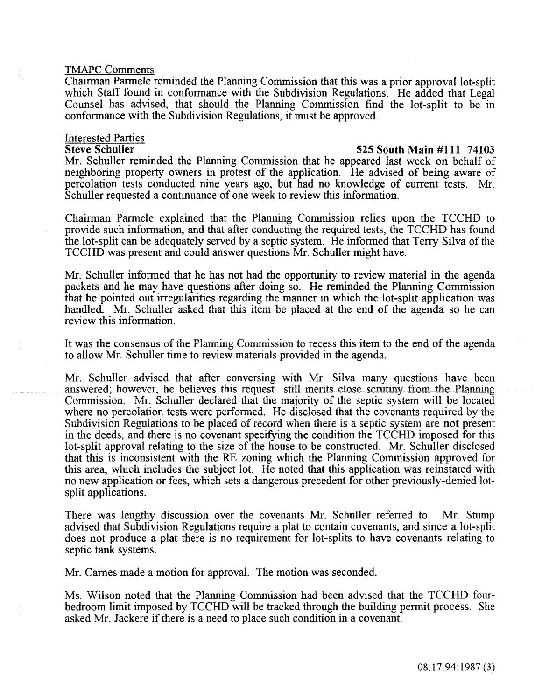#### TMAPC Comments

Chairman Parmele reminded the Planning Commission that this was a prior approval lot-split which Staff found in conformance with the Subdivision Regulations. He added that Legal Counsel has advised, that should the Planning Commission find the lot-split to be in conformance with the Subdivision Regulations, it must be approved.

# **Interested Parties**<br>Steve Schuller

#### 525 South Main #111 74103

Mr. Schuller reminded the Planning Commission that he appeared last week on behalf of neighboring property owners in protest of the application. He advised of being aware of percolation tests conducted nine years ago, but had no knowledge of current tests. Mr. Schuller requested a continuance of one week to review this information.

Chairman Parmele explained that the Planning Commission relies upon the TCCHD to provide such information, and that after conducting the required tests, the TCCHD has found the lot-split can be adequately served by a septic system. He informed that Terry Silva of the TCCHD was present and could answer questions Mr. Schuller might have.

Mr. Schuller informed that he has not had the opportunity to review material in the agenda packets and he may have questions after doing so. He reminded the Planning Commission that he pointed out irregularities regarding the manner in which the lot-split application was handled. Mr. Schuller asked that this item be placed at the end of the agenda so he can review this information.

It was the consensus of the Planning Commission to recess this item to the end of the agenda to allow Mr. Schuller time to review materials provided in the agenda.

Mr. Schuller advised that after conversing with Mr. Silva many questions have been answered; however, he believes this request still merits close scrutiny from the Planning Commission. Mr. Schuller declared that the majority of the septic system will be located where no percolation tests were performed. He disclosed that the covenants required by the Subdivision Regulations to be placed of record when there is a septic system are not present in the deeds, and there is no covenant specifying the condition the TCCHD imposed for this lot-split approval relating to the size of the house to be constructed. Mr. Schuller disclosed that this is inconsistent with the RE zoning which the Planning Commission approved for this area, which includes the subject iot. He noted that this application was reinstated with no new application or fees, which sets a dangerous precedent for other previously-denied lotsplit applications.

There was lengthy discussion over the covenants Mr. Schuller referred to. Mr. Stump advised that Subdivision Regulations require a plat to contain covenants, and since a lot-split does not produce a plat there is no requirement for lot-splits to have covenants relating to septic tank systems.

Mr. Carnes made a motion for approval. The motion was seconded.

Ms. Wilson noted that the Planning Commission had been advised that the TCCHD fourbedroom limit imposed by TCCHD will be tracked through the building permit process. She asked Mr. Jackere if there is a need to place such condition in a covenant.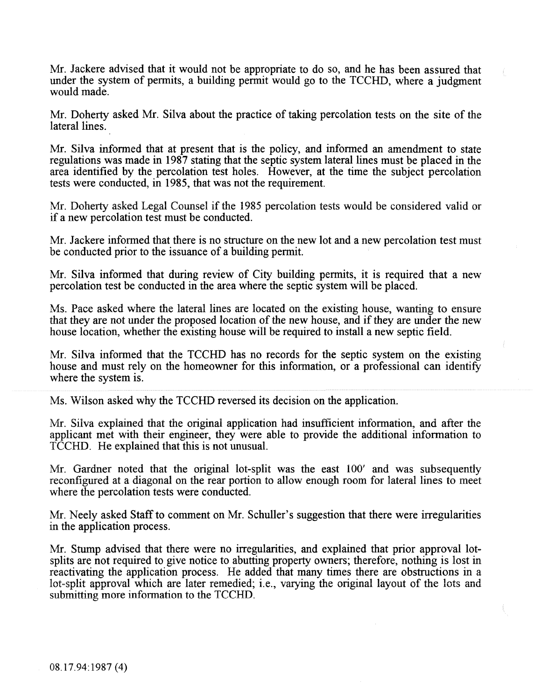Mr. Jackere advised that it would not be appropriate to do so, and he has been assured that under the system of permits, a building permit would go to the TCCHD, where a judgment would made.

Mr. Doherty asked Mr. Silva about the practice of taking percolation tests on the site of the lateral lines.

Mr. Silva informed that at present that is the policy, and informed an amendment to state regulations was made in 1987 stating that the septic system lateral lines must be placed in the area identified by the percolation test holes. However, at the time the subject percolation tests were conducted, in 1985, that was not the requirement.

Mr. Doherty asked Legal Counsel if the 1985 percolation tests would be considered valid or if a new percolation test must be conducted.

Mr. Jackere informed that there is no structure on the new lot and a new percolation test must be conducted prior to the issuance of a building permit.

Mr. Silva informed that during review of City building permits, it is required that a new percolation test be conducted in the area where the septic system will be placed.

Ms. Pace asked where the lateral lines are located on the existing house, wanting to ensure that they are not under the proposed location of the new house, and if they are under the new house location, whether the existing house will be required to install a new septic field.

Mr. Silva informed that the TCCHD has no records for the septic system on the existing house and must rely on the homeowner for this information, or a professional can identify where the system is.

Ms. Wilson asked why the TCCHD reversed its decision on the application.

Mr. Silva explained that the original application had insufficient information, and after the applicant met with their engineer, they were able to provide the additional information to TCCHD. He explained that this is not unusual.

Mr. Gardner noted that the original lot-split was the east 100' and was subsequently reconfigured at a diagonal on the rear portion to allow enough room for lateral lines to meet where the percolation tests were conducted.

Mr. Neely asked Staff to comment on Mr. Schuller's suggestion that there were irregularities in the application process.

Mr. Stump advised that there were no irregularities, and explained that prior approval lotsplits are not required to give notice to abutting property owners; therefore, nothing is lost in reactivating the application process. He added that many times there are obstructions in a lot-split approval which are later remedied; i.e., varying the original layout of the lots and submitting more information to the TCCHD.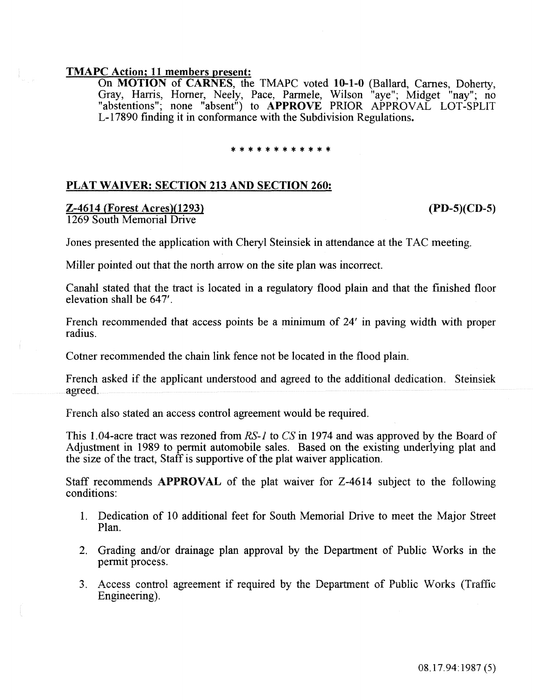#### TMAPC Action; 11 members present:

On MOTION of CARNES, the TMAPC voted 10-1-0 (Ballard, Carnes, Doherty, Gray, Harris, Homer, Neely, Pace, Parmele, Wilson "aye"; Midget "nay"; no "abstentions"; none "absent") to APPROVE PRIOR APPROVAL LOT-SPLIT L-17890 fmding it in conformance with the Subdivision Regulations.

#### \*\*\*\*\*\*\*\*\*\*

#### PLAT WAIVER: SECTION 213 AND SECTION 260:

# Z-4614 (Forest Acres)(1293)

#### (PD-S)(CD-5)

1269 South Memorial Drive

Jones presented the application with Cheryl Steinsiek in attendance at the TAC meeting.

Miller pointed out that the north arrow on the site plan was incorrect.

Canahl stated that the tract is located in a regulatory flood plain and that the finished floor elevation shall be 647'.

French recommended that access points be a minimum of 24' in paving width with proper radius.

Cotner recommended the chain link fence not be located in the flood plain.

French asked if the applicant understood and agreed to the additional dedication. Steinsiek agreed.

French also stated an access control agreement wouid be required.

This 1.04-acre tract was rezoned from *RS-1* to CS in 1974 and was approved by the Board of Adjustment in 1989 to permit automobile sales. Based on the existing underlying plat and the size of the tract, Staff is supportive of the plat waiver application.

Staff recommends **APPROVAL** of the plat waiver for Z-4614 subject to the following conditions:

- 1. Dedication of 10 additional feet for South Memorial Drive to meet the Major Street Plan.
- 2. Grading and/or drainage plan approval by the Department of Public Works in the permit process.
- 3. Access control agreement if required by the Department of Public Works (Traffic Engineering).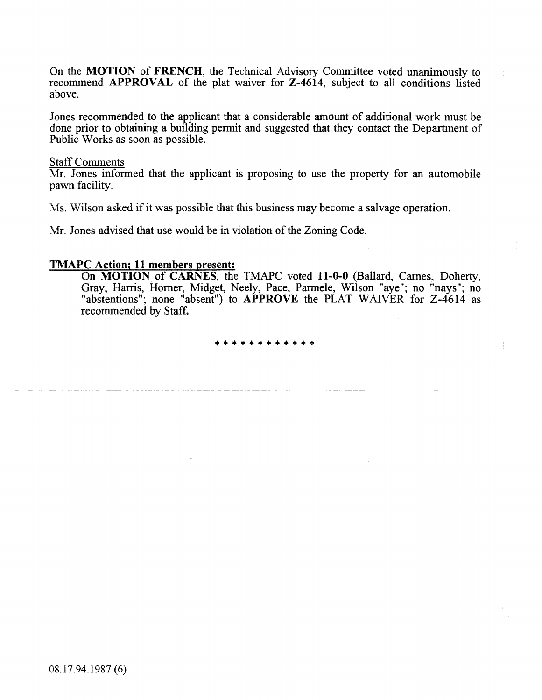On the MOTION of FRENCH, the Technical Advisory Committee voted unanimously to recommend APPROVAL of the plat waiver for Z-4614, subject to all conditions listed above.

Jones recommended to the applicant that a considerable amount of additional work must be done prior to obtaining a building permit and suggested that they contact the Department of Public Works as soon as possible.

#### Staff Comments

Mr. Jones informed that the applicant is proposing to use the property for an automobile pawn facility.

Ms. Wilson asked if it was possible that this business may become a salvage operation.

Mr. Jones advised that use would be in violation of the Zoning Code.

#### TMAPC Action; 11 members present:

On MOTION of CARNES, the TMAPC voted 11-0-0 (Ballard, Carnes, Doherty, Gray, Harris, Homer, Midget, Neely, Pace, Parmele, Wilson "aye"; no "nays"; no "abstentions"; none "absent") to **APPROVE** the PLAT WAIVER for Z-4614 as recommended by Staff.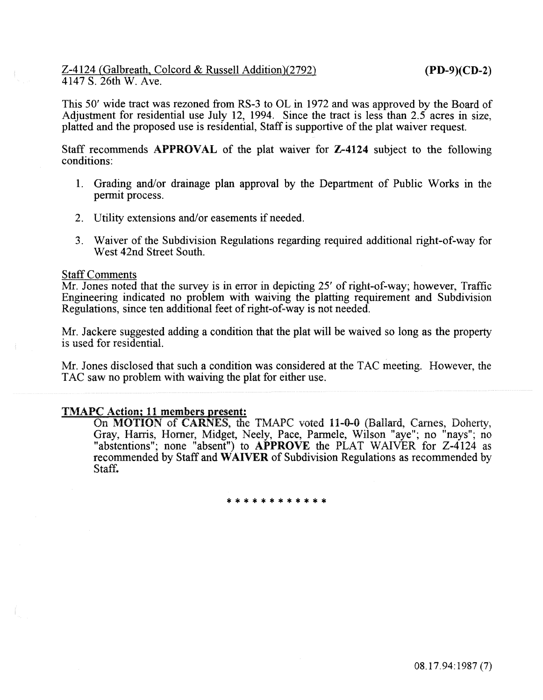This 50' wide tract was rezoned from RS-3 to OL in 1972 and was approved by the Board of Adjustment for residential use July 12, 1994. Since the tract is less than 2.5 acres in size, platted and the proposed use is residential, Staff is supportive of the plat waiver request.

Staff recommends APPROVAL of the plat waiver for Z-4124 subject to the following conditions:

- 1. Grading and/or drainage plan approval by the Department of Public Works in the permit process.
- 2. Utility extensions and/or easements if needed.
- 3. Waiver of the Subdivision Regulations regarding required additional right-of-way for West 42nd Street South.

#### Staff Comments

Mr. Jones noted that the survey is in error in depicting  $25'$  of right-of-way; however, Traffic Engineering indicated no problem with waiving the platting requirement and Subdivision Regulations, since ten additional feet of right-of-way is not needed.

Mr. Jackere suggested adding a condition that the plat will be waived so long as the property is used for residential.

Mr. Jones disclosed that such a condition was considered at the TAC meeting. However, the TAC saw no problem with waiving the plat for either use.

#### TMAPC Action; 11 members present:

On MOTION of CARNES, the TMAPC voted 11-0-0 (Ballard, Carnes, Doherty, Gray, Harris, Homer, Midget, Neely, Pace, Parmele, Wilson "aye"; no "nays"; no "abstentions"; none "absent") to APPROVE the PLAT WAIVER for Z-4124 as recommended by Staff and WAIVER of Subdivision Regulations as recommended by Staff.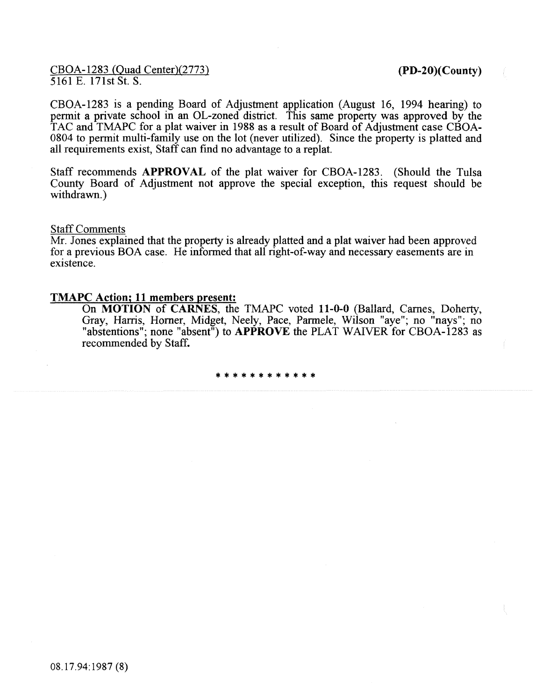CBOA-1283 (Quad Center)(2773) 5161 E. 171st St. S.

(PD-20)(County)

CBOA-1283 is a pending Board of Adjustment application (August 16, 1994 hearing) to permit a private school in an OL-zoned district. This same property was approved by the TAC and TMAPC for a plat waiver in 1988 as a result of Board of Adjustment case CBOA-0804 to permit multi-family use on the lot (never utilized). Since the property is platted and all requirements exist, Staff can find no advantage to a replat.

Staff recommends **APPROVAL** of the plat waiver for CBOA-1283. (Should the Tulsa County Board of Adjustment not approve the special exception, this request should be withdrawn.)

### Staff Comments

Mr. Jones explained that the property is already platted and a plat waiver had been approved for a previous BOA case. He informed that all right-of-way and necessary easements are in existence.

#### TMAPC Action; **11** members present:

On MOTION of CARNES, the TMAPC voted 11-0-0 (Ballard, Carnes, Doherty, Gray, Harris, Homer, Midget, Neely, Pace, Parmele, Wilson "aye"; no "nays"; no "abstentions"; none "absent") to APPROVE the PLAT WAIVER for CBOA-1283 as recommended by Staff.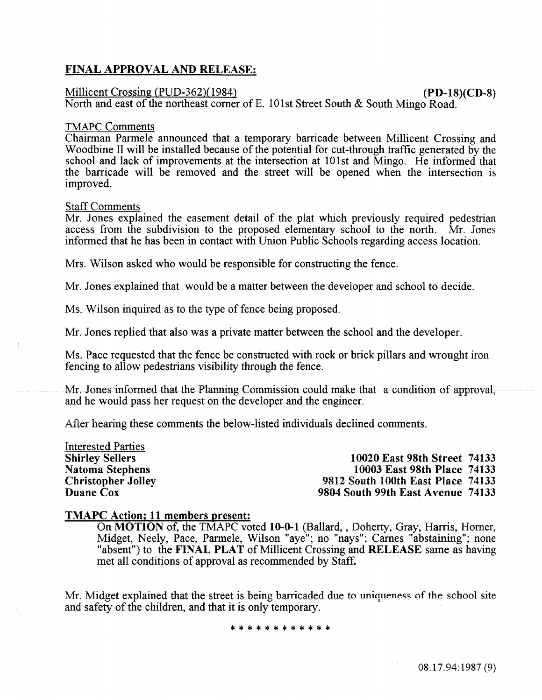## FINAL APPROVAL AND RELEASE:

#### Millicent Crossing (PUD-362)(1984) (PD-18)(CD-8)

North and east of the northeast comer of E. lOlst Street South & South Mingo Road.

#### TMAPC Comments

Chairman Parmele announced that a temporary barricade between Millicent Crossing and Woodbine II will be installed because of the potential for cut-through traffic generated by the school and lack of improvements at the intersection at lOlst and Mingo. He informed that the barricade will be removed and the street will be opened when the intersection is improved.

#### Staff Comments

Mr. Jones explained the easement detail of the plat which previously required pedestrian access from the subdivision to the proposed elementary school to the north. Mr. Jones informed that he has been in contact with Union Public Schools regarding access location.

Mrs. Wilson asked who would be responsible for constructing the fence.

Mr. Jones explained that would be a matter between the developer and school to decide.

Ms. Wilson inquired as to the type of fence being proposed.

Mr. Jones replied that also was a private matter between the school and the developer.

Ms. Pace requested that the fence be constructed with rock or brick pillars and wrought iron fencing to allow pedestrians visibility through the fence.

Mr. Jones informed that the Planning Commission could make that a condition of approval, and he would pass her request on the developer and the engineer.

After hearing these comments the below-listed individuals declined comments.

Interested Parties Shirley Sellers Natoma Stephens Christopher Jolley Duane Cox

10020 East 98th Street 74133 10003 East 98th Piace 74133 9812 South 100th East Place 74133 9804 South 99th East Avenue 74133

#### TMAPC Action; 11 members present:

On MOTION of, the TMAPC voted 10-0-1 (Ballard, , Doherty, Gray, Harris, Horner, Midget, Neely, Pace, Parmele, Wilson "aye"; no "nays"; Carnes "abstaining"; none "absent") to the FINAL PLAT of Millicent Crossing and RELEASE same as having met all conditions of approval as recommended by Staff.

Mr. Midget explained that the street is being barricaded due to uniqueness of the school site and safety of the children, and that it is only temporary.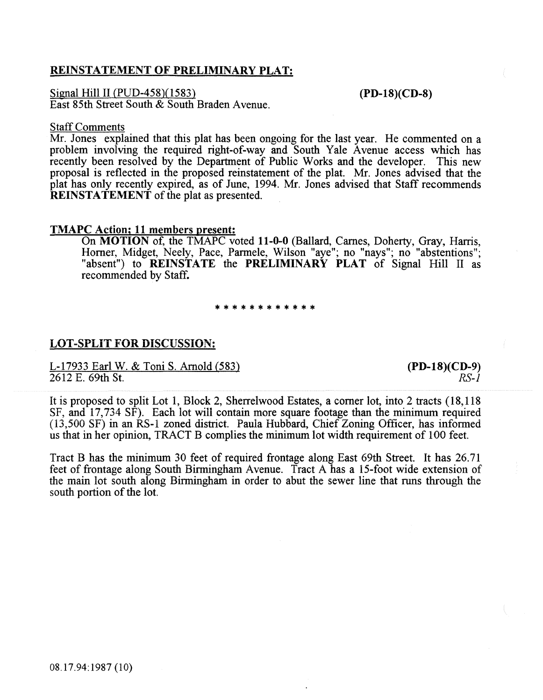### REINSTATEMENT OF PRELIMINARY PLAT:

Signal Hill II (PUD-458)(1583) East 85th Street South & South Braden Avenue. (PD-18)(CD-8)

#### Staff Comments

Mr. Jones explained that this plat has been ongoing for the last year. He commented on a problem involving the required right-of-way and South Yale Avenue access which has recently been resolved by the Department of Public Works and the developer. This new proposal is reflected in the proposed reinstatement of the plat. Mr. Jones advised that the plat has only recently expired, as of June, 1994. Mr. Jones advised that Staff recommends REINSTATEMENT of the plat as presented.

#### TMAPC Action; 11 members present:

On MOTION of, the TMAPC voted 11-0-0 (Ballard, Carnes, Doherty, Gray, Harris, Horner, Midget, Neely, Pace, Parmele, Wilson "aye"; no "nays"; no "abstentions"; "absent") to **REINSTATE** the **PRELIMINARY PLAT** of Signal Hill II as recommended by Staff.

# \*\*\*\*\*\*\*\*\*\*\*\*

#### LOT-SPLiT FOR DiSCUSSiON:

L-17933 Earl W. & Toni S. Arnold (583) 2612 E. 69th St.

(PD-18)(CD-9) *RS-1* 

It is proposed to split Lot 1, Block 2, Sherrelwood Estates, a corner lot, into 2 tracts (18, 118 SF, and 17,734 SF). Each lot wiil contain more square footage than the minimum required (13,500 SF) in an RS-1 zoned district. Paula Hubbard, Chief Zoning Officer, has informed us that in her opinion, TRACT B complies the minimum lot width requirement of 100 feet.

Tract B has the minimum 30 feet of required frontage along East 69th Street. It has 26.71 feet of frontage aiong South Birmingham Avenue. Tract A has a 15-foot wide extension of the main lot south along Birmingham in order to abut the sewer line that runs through the south portion of the lot.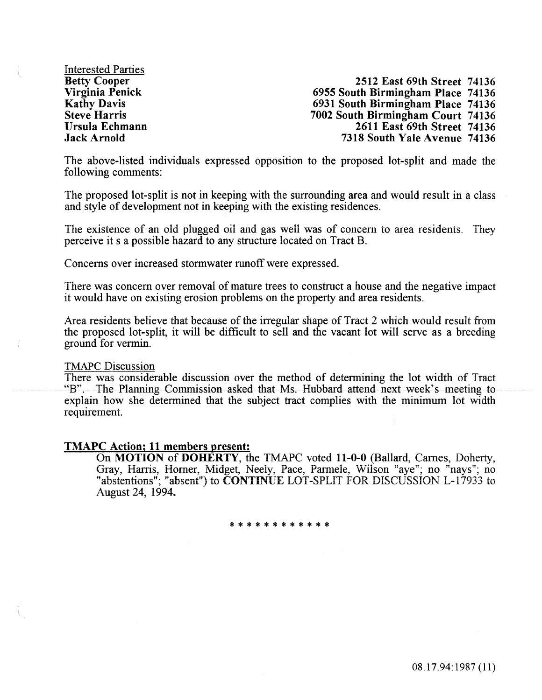Interested Parties Betty Cooper Virginia Penick Kathy Davis Steve Harris Ursula Echmann Jack Arnold

2512 East 69th Street 74136 6955 South Birmingham Place 74136 6931 South Birmingham Place 74136 7002 South Birmingham Court 74136 2611 East 69th Street 74136 7318 South Yale Avenue 74136

The above-listed individuals expressed opposition to the proposed lot-split and made the following comments:

The proposed lot-split is not in keeping with the surrounding area and would result in a class and style of development not in keeping with the existing residences.

The existence of an old plugged oil and gas well was of concern to area residents. They perceive its a possible hazard to any structure located on Tract B.

Concerns over increased storm water runoff were expressed.

There was concern over removal of mature trees to construct a house and the negative impact it would have on existing erosion problems on the property and area residents.

Area residents believe that because of the irregular shape of Tract 2 which would result from the proposed lot-split, it will be difficult to sell and the vacant lot will serve as a breeding ground for vermin.

#### TMAPC Discussion

There was considerable discussion over the method of determining the lot width of Tract "B". The Planning Commission asked that Ms. Hubbard attend next week's meeting to explain how she determined that the subject tract complies with the minimum lot width requirement.

#### TMAPC Action; 11 members present:

On MOTION of DOHERTY, the TMAPC voted 11-0-0 (Ballard, Carnes, Doherty, Gray, Harris, Horner, Midget, Neely, Pace, Parmele, Wilson "aye"; no "nays"; no "abstentions"; "absent") to **CONTINUE** LOT-SPLIT FOR DISCUSSION L-17933 to August 24, 1994.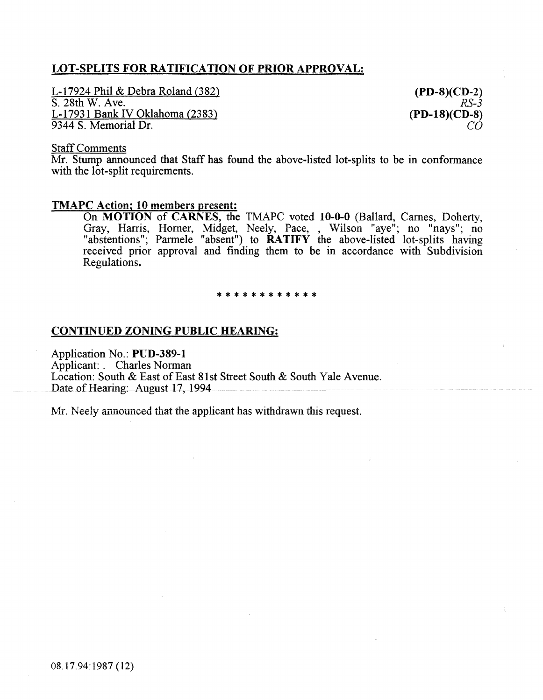## LOT-SPLITS FOR RATIFICATION OF PRIOR APPROVAL:

L-17924 Phil & Debra Roland (382) S. 28th W. Ave. L-17931 Bank IV Oklahoma (2383) 9344 S. Memorial Dr.

(PD-8)(CD-2) *RS-3*  (PD-18)(CD-8) co

#### Staff Comments

Mr. Stump announced that Staff has found the above-listed lot-splits to be in conformance with the lot-split requirements.

#### TMAPC Action; 10 members present:

On MOTION of CARNES, the TMAPC voted 10-0-0 (Ballard, Carnes, Doherty, Gray, Harris, Horner, Midget, Neely, Pace, , Wilson "aye"; no "nays"; no "abstentions"; Parmele "absent") to RATIFY the above-listed lot-splits having received prior approval and finding them to be in accordance with Subdivision Regulations.

# \* \* \* \* \* \* \* \* \* \* \* \*

#### CONTINUED ZONING PUBLIC HEARING:

Application No.: PUD-389-1 Applicant: . Charles Norman Location: South & East of East 81st Street South & South Yale Avenue. Date of Hearing: August 17, 1994

Mr. Neely announced that the applicant has withdrawn this request.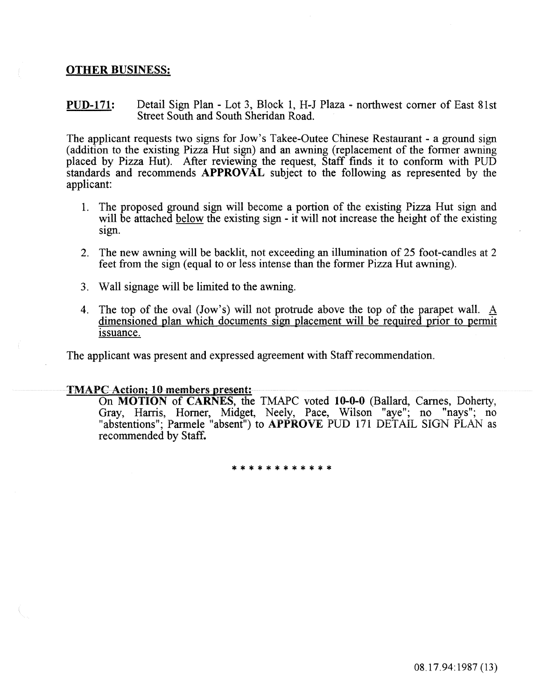#### OTHER BUSINESS:

PUD-171: Detail Sign Plan - Lot 3, Block 1, H-J Plaza - northwest comer of East 81st Street South and South Sheridan Road.

The applicant requests two signs for Jow's Takee-Outee Chinese Restaurant- a ground sign (addition to the existing Pizza Hut sign) and an awning (replacement of the former awning placed by Pizza Hut). After reviewing the request, Staff fmds it to conform with PUD standards and recommends APPROVAL subject to the following as represented by the applicant

- 1. The proposed ground sign will become a portion of the existing Pizza Hut sign and will be attached below the existing sign - it will not increase the height of the existing Sign.
- 2. The new awning will be backlit, not exceeding an illumination of 25 foot-candles at 2 feet from the sign (equal to or less intense than the former Pizza Hut awning).
- 3. Wall signage will be limited to the awning.
- 4. The top of the oval (Jow's) will not protrude above the top of the parapet wall. A dimensioned plan which documents sign placement will be required prior to permit issuance.

The applicant was present and expressed agreement with Staff recommendation.

#### TMAPC Action; 10 members present:

On MOTION of CARNES, the TMAPC voted 10-0-0 (Ballard, Carnes, Doherty, Gray, Harris, Homer, Midget, Neeiy, Pace, Wiison "aye"; no "nays"; no "abstentions"; Parmele "absent") to APPROVE PUD 171 DETAIL SIGN PLAN as recommended by Staff.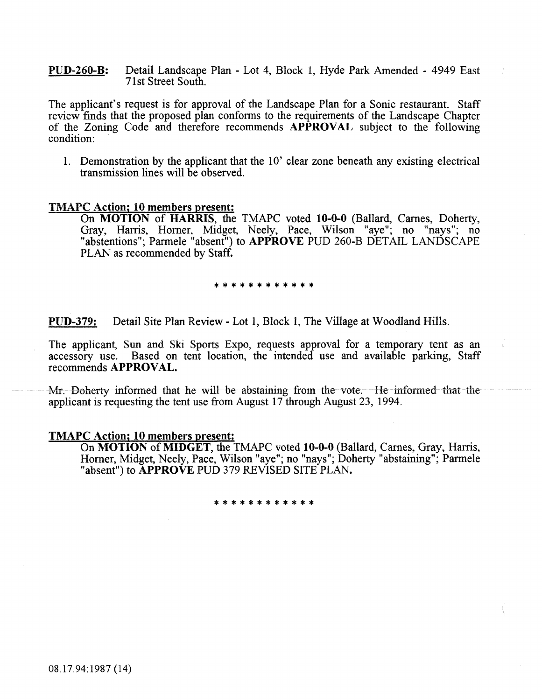PUD-260-B: Detail Landscape Plan - Lot 4, Block 1, Hyde Park Amended - 4949 East 71st Street South.

The applicant's request is for approval of the Landscape Plan for a Sonic restaurant. Staff review finds that the proposed plan conforms to the requirements of the Landscape Chapter of the Zoning Code and therefore recommends APPROVAL subject to the following condition:

1. Demonstration by the applicant that the 10' clear zone beneath any existing electrical transmission lines will be observed.

#### TMAPC Action; 10 members present:

On MOTION of HARRIS, the TMAPC voted 10-0-0 (Ballard, Carnes, Doherty, Gray, Harris, Homer, Midget, Neely, Pace, Wilson "aye"; no "nays"; no "abstentions"; Parmele "absent") to APPROVE PUD 260-B DETAIL LANDSCAPE PLAN as recommended by Staff.

\* \* \* \* \* \* \* \* \* \* \* \*

PUD-379: Detail Site Plan Review- Lot 1, Block 1, The Village at Woodland Hills.

The applicant, Sun and Ski Sports Expo, requests approval for a temporary tent as an accessory use. Based on tent location, the intended use and available parking, Staff recommends APPROVAL.

Mr. Doherty informed that he will be abstaining from the vote. He informed that the applicant is requesting the tent use from August 17 through August 23, 1994.

#### TMAPC Action; 10 members present:

On MOTION of MIDGET, the TMAPC voted 10-0-0 (Ballard, Carnes, Gray, Harris, Homer, Midget, Neely, Pace, Wilson "aye"; no "nays"; Doherty "abstaining"; Parmele "absent") to APPROVE PUD 379 REVISED SITE PLAN.

#### \* \* \* \* \* \* \* \* \*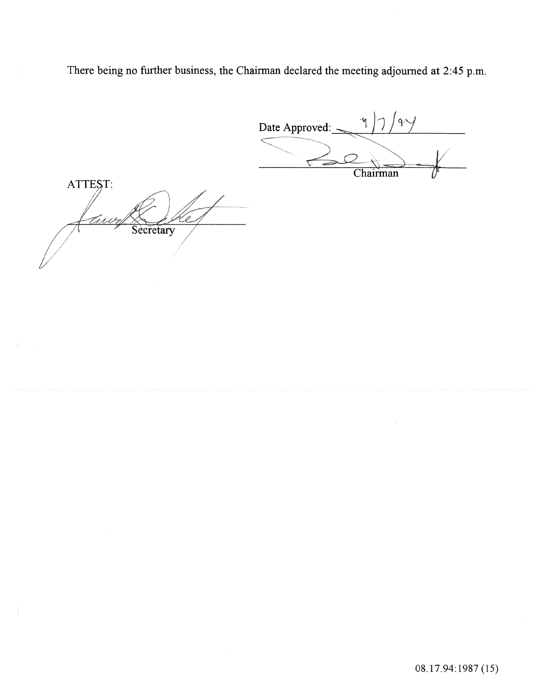There being no further business, the Chairman declared the meeting adjourned at 2:45 p.m.

Date Approved: <u>-</u>  $\frac{1}{1}$ ATTEST: *t* / *J"7* ~\/: I /  $\frac{1}{\sqrt{4\pi r^2}}$ 1 Secretary I I *//l* / L/